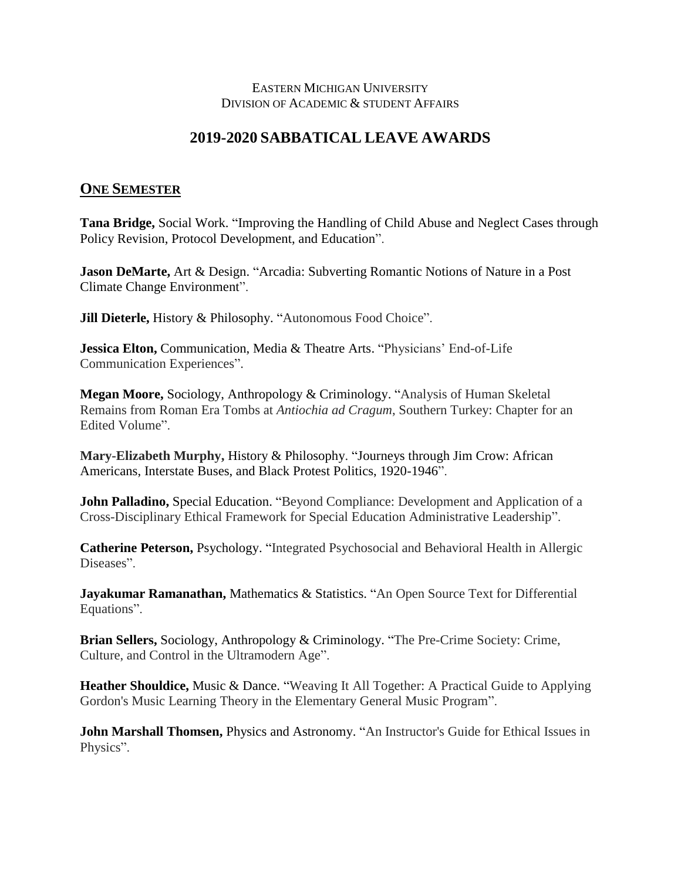## EASTERN MICHIGAN UNIVERSITY DIVISION OF ACADEMIC & STUDENT AFFAIRS

## **2019-2020 SABBATICAL LEAVE AWARDS**

## **ONE SEMESTER**

**Tana Bridge,** Social Work. "Improving the Handling of Child Abuse and Neglect Cases through Policy Revision, Protocol Development, and Education".

**Jason DeMarte, Art & Design. "Arcadia: Subverting Romantic Notions of Nature in a Post** Climate Change Environment".

**Jill Dieterle, History & Philosophy. "Autonomous Food Choice".** 

**Jessica Elton,** Communication, Media & Theatre Arts. "Physicians' End-of-Life Communication Experiences".

**Megan Moore,** Sociology, Anthropology & Criminology. "Analysis of Human Skeletal Remains from Roman Era Tombs at *Antiochia ad Cragum*, Southern Turkey: Chapter for an Edited Volume".

**Mary-Elizabeth Murphy,** History & Philosophy. "Journeys through Jim Crow: African Americans, Interstate Buses, and Black Protest Politics, 1920-1946".

**John Palladino, Special Education. "Beyond Compliance: Development and Application of a** Cross-Disciplinary Ethical Framework for Special Education Administrative Leadership".

**Catherine Peterson,** Psychology. "Integrated Psychosocial and Behavioral Health in Allergic Diseases".

**Jayakumar Ramanathan,** Mathematics & Statistics. "An Open Source Text for Differential Equations".

**Brian Sellers,** Sociology, Anthropology & Criminology. "The Pre-Crime Society: Crime, Culture, and Control in the Ultramodern Age".

**Heather Shouldice,** Music & Dance. "Weaving It All Together: A Practical Guide to Applying Gordon's Music Learning Theory in the Elementary General Music Program".

**John Marshall Thomsen, Physics and Astronomy. "An Instructor's Guide for Ethical Issues in** Physics".